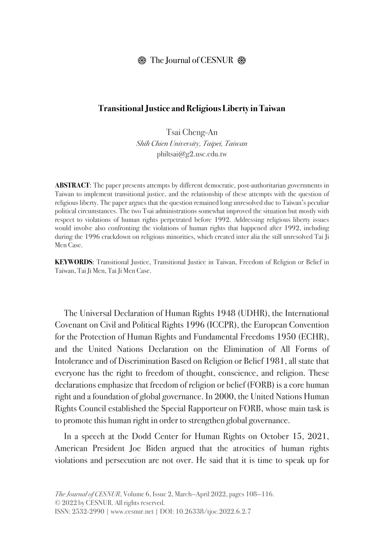## $\circledR$  The Journal of CESNUR  $\circledR$

## **Transitional Justice and Religious Liberty in Taiwan**

Tsai Cheng-An *Shih Chien University, Taipei, Taiwan* philtsai@g2.usc.edu.tw

**ABSTRACT**: The paper presents attempts by different democratic, post-authoritarian governments in Taiwan to implement transitional justice, and the relationship of these attempts with the question of religious liberty. The paper argues that the question remained long unresolved due to Taiwan's peculiar political circumstances. The two Tsai administrations somewhat improved the situation but mostly with respect to violations of human rights perpetrated before 1992. Addressing religious liberty issues would involve also confronting the violations of human rights that happened after 1992, including during the 1996 crackdown on religious minorities, which created inter alia the still unresolved Tai Ji Men Case.

**KEYWORDS**: Transitional Justice, Transitional Justice in Taiwan, Freedom of Religion or Belief in Taiwan, Tai Ji Men, Tai Ji Men Case.

The Universal Declaration of Human Rights 1948 (UDHR), the International Covenant on Civil and Political Rights 1996 (ICCPR), the European Convention for the Protection of Human Rights and Fundamental Freedoms 1950 (ECHR), and the United Nations Declaration on the Elimination of All Forms of Intolerance and of Discrimination Based on Religion or Belief 1981, all state that everyone has the right to freedom of thought, conscience, and religion. These declarations emphasize that freedom of religion or belief (FORB) is a core human right and a foundation of global governance. In 2000, the United Nations Human Rights Council established the Special Rapporteur on FORB, whose main task is to promote this human right in order to strengthen global governance.

In a speech at the Dodd Center for Human Rights on October 15, 2021, American President Joe Biden argued that the atrocities of human rights violations and persecution are not over. He said that it is time to speak up for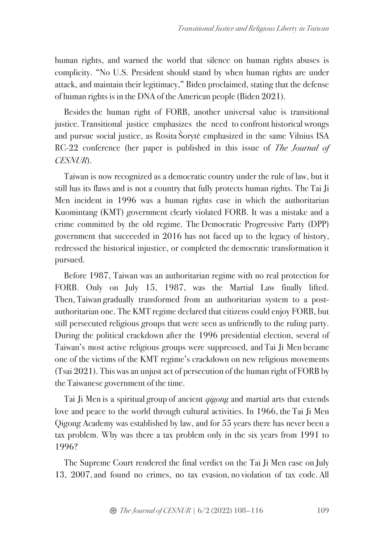human rights, and warned the world that silence on human rights abuses is complicity. "No U.S. President should stand by when human rights are under attack, and maintain their legitimacy," Biden proclaimed, stating that the defense of human rights is in the DNA of the American people (Biden 2021).

Besides the human right of FORB, another universal value is transitional justice. Transitional justice emphasizes the need to confront historical wrongs and pursue social justice, as Rosita Šorytė emphasized in the same Vilnius ISA RC-22 conference (her paper is published in this issue of *The Journal of CESNUR*).

Taiwan is now recognized as a democratic country under the rule of law, but it still has its flaws and is not a country that fully protects human rights. The Tai Ji Men incident in 1996 was a human rights case in which the authoritarian Kuomintang (KMT) government clearly violated FORB. It was a mistake and a crime committed by the old regime. The Democratic Progressive Party (DPP) government that succeeded in 2016 has not faced up to the legacy of history, redressed the historical injustice, or completed the democratic transformation it pursued.

Before 1987, Taiwan was an authoritarian regime with no real protection for FORB. Only on July 15, 1987, was the Martial Law finally lifted. Then, Taiwan gradually transformed from an authoritarian system to a postauthoritarian one. The KMT regime declared that citizens could enjoy FORB, but still persecuted religious groups that were seen as unfriendly to the ruling party. During the political crackdown after the 1996 presidential election, several of Taiwan's most active religious groups were suppressed, and Tai Ji Men became one of the victims of the KMT regime's crackdown on new religious movements (Tsai 2021). This was an unjust act of persecution of the human right of FORB by the Taiwanese government of the time.

Tai Ji Men is a spiritual group of ancient *qigong* and martial arts that extends love and peace to the world through cultural activities. In 1966, the Tai Ji Men Qigong Academy was established by law, and for 55 years there has never been a tax problem. Why was there a tax problem only in the six years from 1991 to 1996?

The Supreme Court rendered the final verdict on the Tai Ji Men case on July 13, 2007,and found no crimes, no tax evasion, no violation of tax code. All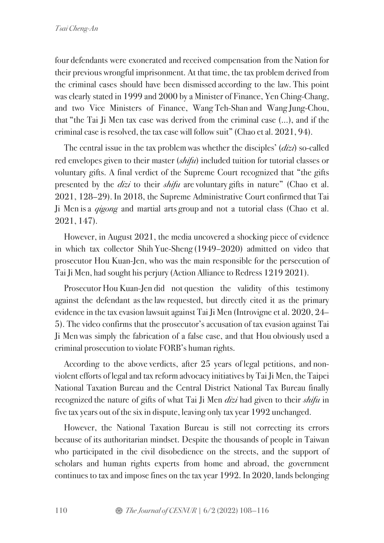four defendants were exonerated and received compensation from the Nation for their previous wrongful imprisonment. At that time, the tax problem derived from the criminal cases should have been dismissed according to the law. This point was clearly stated in 1999 and 2000 by a Minister of Finance, Yen Ching-Chang, and two Vice Ministers of Finance, Wang Teh-Shan and Wang Jung-Chou, that "the Tai Ji Men tax case was derived from the criminal case (…), and if the criminal case is resolved, the tax case will follow suit" (Chao et al. 2021, 94).

The central issue in the tax problem was whether the disciples' (*dizi*) so-called red envelopes given to their master (*shifu*) included tuition for tutorial classes or voluntary gifts. A final verdict of the Supreme Court recognized that "the gifts presented by the *dizi* to their *shifu* are voluntary gifts in nature" (Chao et al. 2021, 128–29). In 2018, the Supreme Administrative Court confirmed that Tai Ji Men isa *qigong* and martial arts group and not a tutorial class (Chao et al. 2021, 147).

However, in August 2021, the media uncovered a shocking piece of evidence in which tax collector Shih Yue-Sheng (1949–2020) admitted on video that prosecutor Hou Kuan-Jen, who was the main responsible for the persecution of Tai Ji Men, had sought his perjury (Action Alliance to Redress 1219 2021).

Prosecutor Hou Kuan-Jen did not question the validity of this testimony against the defendant as the law requested, but directly cited it as the primary evidence in the tax evasion lawsuit against Tai Ji Men (Introvigne et al. 2020, 24– 5). The video confirms that the prosecutor's accusation of tax evasion against Tai Ji Men was simply the fabrication of a false case, and that Hou obviously used a criminal prosecution to violate FORB's human rights.

According to the above verdicts, after 25 years of legal petitions, and nonviolent efforts of legal and tax reform advocacy initiatives by Tai Ji Men, the Taipei National Taxation Bureau and the Central District National Tax Bureau finally recognized the nature of gifts of what Tai Ji Men *dizi* had given to their *shifu* in five tax years out of the six in dispute, leaving only tax year 1992 unchanged.

However, the National Taxation Bureau is still not correcting its errors because of its authoritarian mindset. Despite the thousands of people in Taiwan who participated in the civil disobedience on the streets, and the support of scholars and human rights experts from home and abroad, the government continues to tax and impose fines on the tax year 1992. In 2020, lands belonging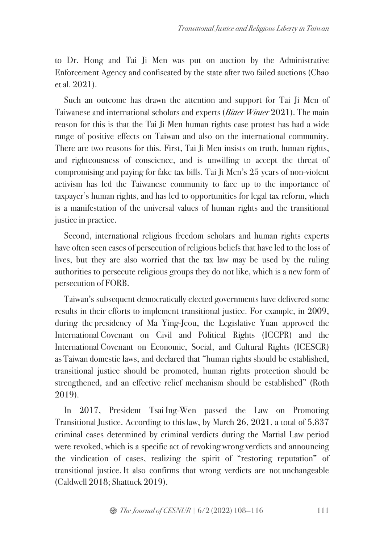to Dr. Hong and Tai Ji Men was put on auction by the Administrative Enforcement Agency and confiscated by the state after two failed auctions (Chao et al. 2021).

Such an outcome has drawn the attention and support for Tai Ji Men of Taiwanese and international scholars and experts (*Bitter Winter* 2021). The main reason for this is that the Tai Ji Men human rights case protest has had a wide range of positive effects on Taiwan and also on the international community. There are two reasons for this. First, Tai Ji Men insists on truth, human rights, and righteousness of conscience, and is unwilling to accept the threat of compromising and paying for fake tax bills. Tai Ji Men's 25 years of non-violent activism has led the Taiwanese community to face up to the importance of taxpayer's human rights, and has led to opportunities for legal tax reform, which is a manifestation of the universal values of human rights and the transitional justice in practice.

Second, international religious freedom scholars and human rights experts have often seen cases of persecution of religious beliefs that have led to the loss of lives, but they are also worried that the tax law may be used by the ruling authorities to persecute religious groups they do not like, which is a new form of persecution of FORB.

Taiwan's subsequent democratically elected governments have delivered some results in their efforts to implement transitional justice. For example, in 2009, during the presidency of Ma Ying-Jeou, the Legislative Yuan approved the International Covenant on Civil and Political Rights (ICCPR) and the International Covenant on Economic, Social, and Cultural Rights (ICESCR) as Taiwan domestic laws, and declared that "human rights should be established, transitional justice should be promoted, human rights protection should be strengthened, and an effective relief mechanism should be established" (Roth 2019).

In 2017, President Tsai Ing-Wen passed the Law on Promoting Transitional Justice. According to this law, by March 26, 2021, a total of 5,837 criminal cases determined by criminal verdicts during the Martial Law period were revoked, which is a specific act of revoking wrong verdicts and announcing the vindication of cases, realizing the spirit of "restoring reputation" of transitional justice. It also confirms that wrong verdicts are not unchangeable (Caldwell 2018; Shattuck 2019).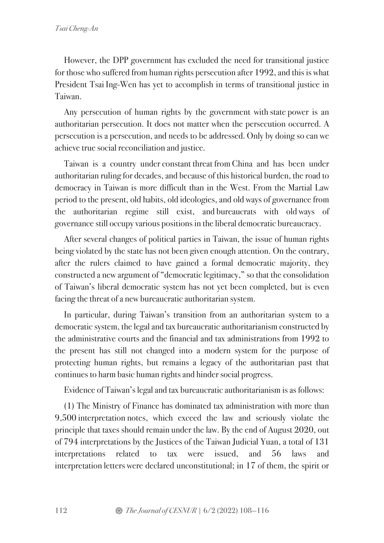However, the DPP government has excluded the need for transitional justice for those who suffered from human rights persecution after 1992, and this is what President Tsai Ing-Wen has yet to accomplish in terms of transitional justice in Taiwan.

Any persecution of human rights by the government with state power is an authoritarian persecution. It does not matter when the persecution occurred. A persecution is a persecution, and needs to be addressed. Only by doing so can we achieve true social reconciliation and justice.

Taiwan is a country under constant threat from China and has been under authoritarian ruling for decades, and because of this historical burden, the road to democracy in Taiwan is more difficult than in the West. From the Martial Law period to the present, old habits, old ideologies, and old ways of governance from the authoritarian regime still exist, and bureaucrats with old ways of governance still occupy various positions in the liberal democratic bureaucracy.

After several changes of political parties in Taiwan, the issue of human rights being violated by the state has not been given enough attention. On the contrary, after the rulers claimed to have gained a formal democratic majority, they constructed a new argument of "democratic legitimacy," so that the consolidation of Taiwan's liberal democratic system has not yet been completed, but is even facing the threat of a new bureaucratic authoritarian system.

In particular, during Taiwan's transition from an authoritarian system to a democratic system, the legal and tax bureaucratic authoritarianism constructed by the administrative courts and the financial and tax administrations from 1992 to the present has still not changed into a modern system for the purpose of protecting human rights, but remains a legacy of the authoritarian past that continues to harm basic human rights and hinder social progress.

Evidence of Taiwan's legal and tax bureaucratic authoritarianism is as follows:

(1) The Ministry of Finance has dominated tax administration with more than 9,500 interpretation notes, which exceed the law and seriously violate the principle that taxes should remain under the law. By the end of August 2020, out of 794 interpretations by the Justices of the Taiwan Judicial Yuan, a total of 131 interpretations related to tax were issued, and 56 laws and interpretation letters were declared unconstitutional; in 17 of them, the spirit or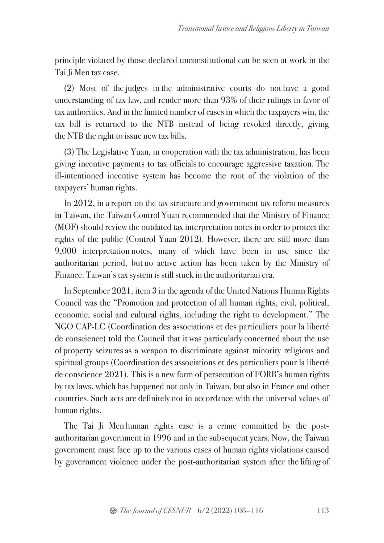principle violated by those declared unconstitutional can be seen at work in the Tai Ji Men tax case.

(2) Most of the judges in the administrative courts do not have a good understanding of tax law, and render more than 93% of their rulings in favor of tax authorities. And in the limited number of cases in which the taxpayers win, the tax bill is returned to the NTB instead of being revoked directly, giving the NTB the right to issue new tax bills.

(3) The Legislative Yuan, in cooperation with the tax administration, has been giving incentive payments to tax officials to encourage aggressive taxation. The ill-intentioned incentive system has become the root of the violation of the taxpayers' human rights.

In 2012, in a report on the tax structure and government tax reform measures in Taiwan, the Taiwan Control Yuan recommended that the Ministry of Finance (MOF) should review the outdated tax interpretation notes in order to protect the rights of the public (Control Yuan 2012). However, there are still more than 9,000 interpretation notes, many of which have been in use since the authoritarian period, but no active action has been taken by the Ministry of Finance. Taiwan's tax system is still stuck in the authoritarian era.

In September 2021, item 3 in the agenda of the United Nations Human Rights Council was the "Promotion and protection of all human rights, civil, political, economic, social and cultural rights, including the right to development." The NGO CAP-LC (Coordination des associations et des particuliers pour la liberté de conscience) told the Council that it was particularly concerned about the use of property seizuresas a weapon to discriminate against minority religious and spiritual groups (Coordination des associations et des particuliers pour la liberté de conscience 2021). This is a new form of persecution of FORB's human rights by tax laws, which has happened not only in Taiwan, but also in France and other countries. Such acts are definitely not in accordance with the universal values of human rights.

The Tai Ji Men human rights case is a crime committed by the postauthoritarian government in 1996 and in the subsequent years. Now, the Taiwan government must face up to the various cases of human rights violations caused by government violence under the post-authoritarian system after the lifting of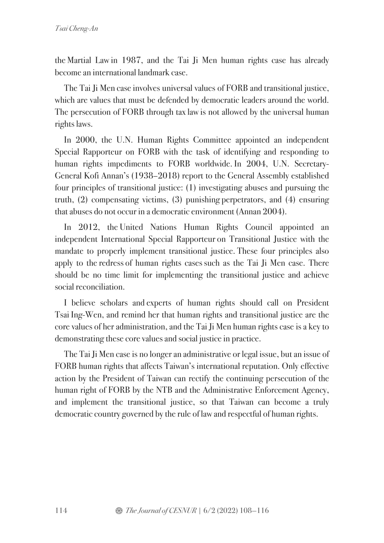the Martial Law in 1987, and the Tai Ji Men human rights case has already become an international landmark case.

The Tai Ji Men case involves universal values of FORB and transitional justice, which are values that must be defended by democratic leaders around the world. The persecution of FORB through tax law is not allowed by the universal human rights laws.

In 2000, the U.N. Human Rights Committee appointed an independent Special Rapporteur on FORB with the task of identifying and responding to human rights impediments to FORB worldwide. In 2004, U.N. Secretary-General Kofi Annan's (1938–2018) report to the General Assembly established four principles of transitional justice: (1) investigating abuses and pursuing the truth, (2) compensating victims, (3) punishing perpetrators, and (4) ensuring that abuses do not occur in a democratic environment (Annan 2004).

In 2012, the United Nations Human Rights Council appointed an independent International Special Rapporteur on Transitional Justice with the mandate to properly implement transitional justice. These four principles also apply to the redress of human rights cases such as the Tai Ji Men case. There should be no time limit for implementing the transitional justice and achieve social reconciliation.

I believe scholars and experts of human rights should call on President Tsai Ing-Wen, and remind her that human rights and transitional justice are the core values of her administration, and the Tai Ji Men human rights case is a key to demonstrating these core values and social justice in practice.

The Tai Ji Men case is no longer an administrative or legal issue, but an issue of FORB human rights that affects Taiwan's international reputation. Only effective action by the President of Taiwan can rectify the continuing persecution of the human right of FORB by the NTB and the Administrative Enforcement Agency, and implement the transitional justice, so that Taiwan can become a truly democratic country governed by the rule of law and respectful of human rights.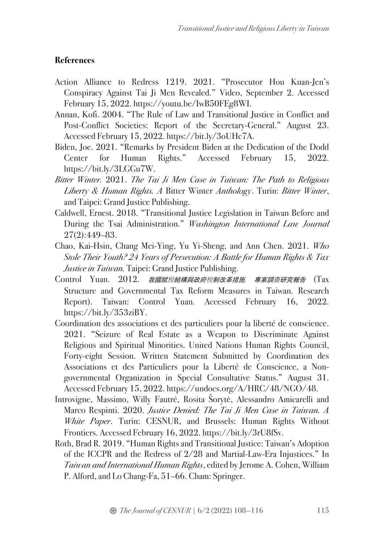## **References**

- Action Alliance to Redress 1219. 2021. "Prosecutor Hou Kuan-Jen's Conspiracy Against Tai Ji Men Revealed." Video, September 2. Accessed February 15, 2022. https://youtu.be/IwB50FEg8WI.
- Annan, Kofi. 2004. "The Rule of Law and Transitional Justice in Conflict and Post-Conflict Societies: Report of the Secretary-General." August 23. Accessed February 15, 2022. https://bit.ly/3oUHc7A.
- Biden, Joe. 2021. "Remarks by President Biden at the Dedication of the Dodd Center for Human Rights." Accessed February 15, 2022. https://bit.ly/3LGGu7W.
- *Bitter Winter.* 2021. *The Tai Ji Men Case in Taiwan: The Path to Religious Liberty & Human Rights. A* Bitter Winter *Anthology*. Turin: *Bitter Winter*, and Taipei: Grand Justice Publishing.
- Caldwell, Ernest. 2018. "Transitional Justice Legislation in Taiwan Before and During the Tsai Administration." *Washington International Law Journal* 27(2):449–83.
- Chao, Kai-Hsin, Chang Mei-Ying, Yu Yi-Sheng, and Ann Chen. 2021. *Who Stole Their Youth? 24 Years of Persecution: A Battle for Human Rights & Tax Justice in Taiwan.* Taipei: Grand Justice Publishing.
- Control Yuan. 2012. 我國賦稅結構與政府稅制改革措施*.* 專案調查研究報告 (Tax Structure and Governmental Tax Reform Measures in Taiwan. Research Report). Taiwan: Control Yuan. Accessed February 16, 2022. https://bit.ly/353ziBY.
- Coordination des associations et des particuliers pour la liberté de conscience. 2021. "Seizure of Real Estate as a Weapon to Discriminate Against Religious and Spiritual Minorities. United Nations Human Rights Council, Forty-eight Session. Written Statement Submitted by Coordination des Associations et des Particuliers pour la Liberté de Conscience, a Nongovernmental Organization in Special Consultative Status." August 31. Accessed February 15, 2022. https://undocs.org/A/HRC/48/NGO/48.
- Introvigne, Massimo, Willy Fautré, Rosita Šorytė, Alessandro Amicarelli and Marco Respinti. 2020. *Justice Denied: The Tai Ji Men Case in Taiwan. A White Paper*. Turin: CESNUR, and Brussels: Human Rights Without Frontiers. Accessed February 16, 2022. https://bit.ly/3rU8fSv.
- Roth, Brad R. 2019. "Human Rights and Transitional Justice: Taiwan's Adoption of the ICCPR and the Redress of 2/28 and Martial-Law-Era Injustices." In *Taiwan and International Human Rights*, edited by Jerome A. Cohen, William P. Alford, and Lo Chang-Fa, 51–66. Cham: Springer.